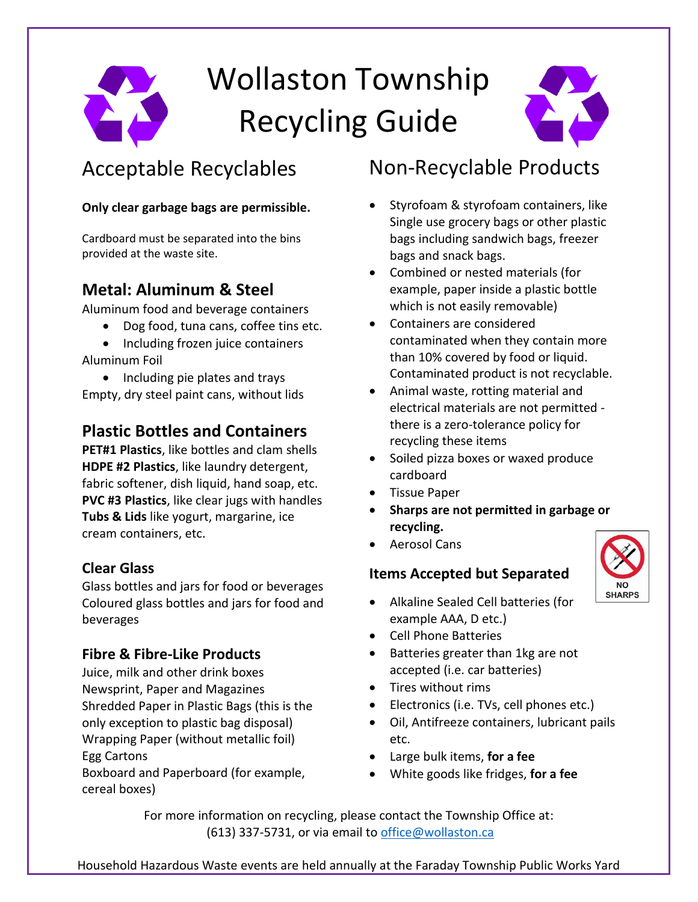# Wollaston Township Recycling Guide



## Acceptable Recyclables

#### **Only clear garbage bags are permissible.**

Cardboard must be separated into the bins provided at the waste site.

#### **Metal: Aluminum & Steel**

Aluminum food and beverage containers

- Dog food, tuna cans, coffee tins etc.
- Including frozen juice containers Aluminum Foil
- Including pie plates and trays Empty, dry steel paint cans, without lids

#### **Plastic Bottles and Containers**

**PET#1 Plastics**, like bottles and clam shells **HDPE #2 Plastics**, like laundry detergent, fabric softener, dish liquid, hand soap, etc. **PVC #3 Plastics**, like clear jugs with handles **Tubs & Lids** like yogurt, margarine, ice cream containers, etc.

#### **Clear Glass**

Glass bottles and jars for food or beverages Coloured glass bottles and jars for food and beverages

#### **Fibre & Fibre-Like Products**

Juice, milk and other drink boxes Newsprint, Paper and Magazines Shredded Paper in Plastic Bags (this is the only exception to plastic bag disposal) Wrapping Paper (without metallic foil) Egg Cartons Boxboard and Paperboard (for example,

cereal boxes)

### Non-Recyclable Products

- Styrofoam & styrofoam containers, like Single use grocery bags or other plastic bags including sandwich bags, freezer bags and snack bags.
- Combined or nested materials (for example, paper inside a plastic bottle which is not easily removable)
- Containers are considered contaminated when they contain more than 10% covered by food or liquid. Contaminated product is not recyclable.
- Animal waste, rotting material and electrical materials are not permitted there is a zero-tolerance policy for recycling these items
- Soiled pizza boxes or waxed produce cardboard
- Tissue Paper
- **Sharps are not permitted in garbage or recycling.**
- Aerosol Cans

#### **Items Accepted but Separated**



- Alkaline Sealed Cell batteries (for example AAA, D etc.)
- Cell Phone Batteries
- Batteries greater than 1kg are not accepted (i.e. car batteries)
- Tires without rims
- Electronics (i.e. TVs, cell phones etc.)
- Oil, Antifreeze containers, lubricant pails etc.
- Large bulk items, **for a fee**
- White goods like fridges, **for a fee**

For more information on recycling, please contact the Township Office at: (613) 337-5731, or via email to [office@wollaston.ca](mailto:office@wollaston.ca)